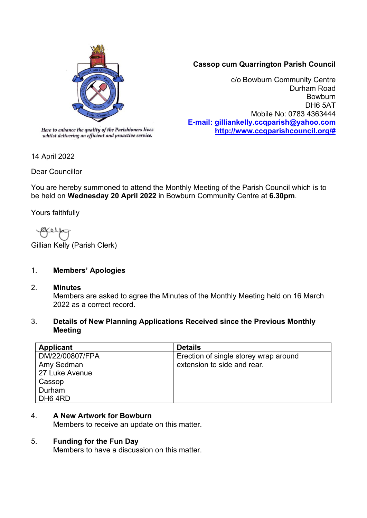

whilst delivering an efficient and proactive service.

# **Cassop cum Quarrington Parish Council**

c/o Bowburn Community Centre Durham Road Bowburn DH6 5AT Mobile No: 0783 4363444 **E-mail: gilliankelly.ccqparish@yahoo.com [http://www.ccqparishcouncil.org/#](http://www.ccqparishcouncil.org/)**

14 April 2022

Dear Councillor

You are hereby summoned to attend the Monthly Meeting of the Parish Council which is to be held on **Wednesday 20 April 2022** in Bowburn Community Centre at **6.30pm**.

Yours faithfully

Ø¥ 6 I

Gillian Kelly (Parish Clerk)

# 1. **Members' Apologies**

#### 2. **Minutes**

Members are asked to agree the Minutes of the Monthly Meeting held on 16 March 2022 as a correct record.

### 3. **Details of New Planning Applications Received since the Previous Monthly Meeting**

| Applicant           | <b>Details</b>                        |
|---------------------|---------------------------------------|
| DM/22/00807/FPA     | Erection of single storey wrap around |
| Amy Sedman          | extension to side and rear.           |
| 27 Luke Avenue      |                                       |
| Cassop              |                                       |
| Durham              |                                       |
| DH <sub>6</sub> 4RD |                                       |

## 4. **A New Artwork for Bowburn**

Members to receive an update on this matter.

## 5. **Funding for the Fun Day**

Members to have a discussion on this matter.